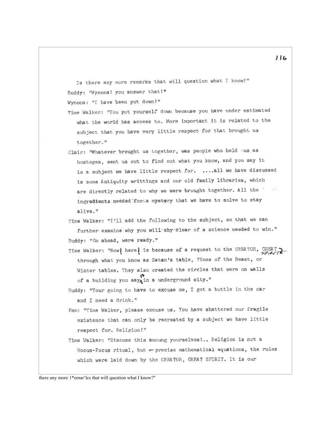Is there any more remarks that will question what I know?" Buddy: "Wynonal you answer that!"

Wynona: "I have been put down!"

- Time Walker: "You put yourself down because you have under estimated what the world has access to. More important it is related to the subject that you have very little respect for that brought us together."
- Clair: "Whatever brought us together, was people who held as as hosteges, sent us out to find out what you know, and you say it is a subject we have little respect for. .... all we have discussed is some Antiquity writtings and our old family libraries, which are directly related to why we were brought together. All the ingredients needed forsa mystery that we have to solve to stay alive."
- Time Walker: "I'll add the following to the subject, so that we can further examine why you will shy clear of a science needed to win." Buddy: "Go ahead, were ready."
- Time Walker: "Now| here| is because of a request to the CREATOR, GREAT through what you know as Satan's table, Times of the Beast, or Winter tables. They also created the circles that were on walls of a building you say in a underground city."
- Buddy: "Your going to have to excuse me, I got a bottle in the car and I need a drink."
- Pam: "Time Walker, please excuse us. You have shattered our fragile existence that can only be recreated by a subject we have little respect for. Religion!"
- Time Walker: "Discuss this amoung yourselves!.. Religion is not a Hocus-Pocus ritual, but  $\leftarrow$  precise mathematical equations, the rules which were laid down by the CREATOR, GREAT SPIRIT. It is our

116